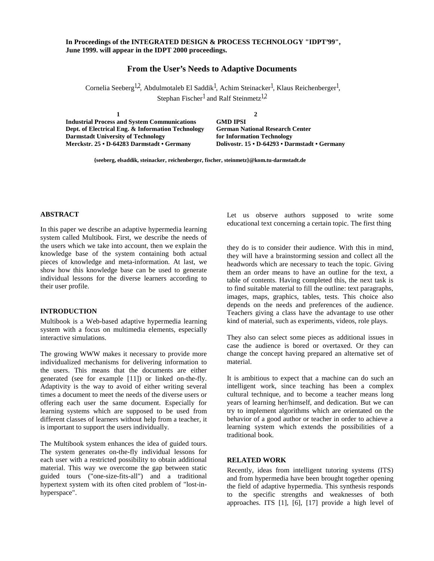## **In Proceedings of the INTEGRATED DESIGN & PROCESS TECHNOLOGY "IDPT'99", June 1999. will appear in the IDPT 2000 proceedings.**

## **From the User's Needs to Adaptive Documents**

Cornelia Seeberg<sup>1,2</sup>, Abdulmotaleb El Saddik<sup>1</sup>, Achim Steinacker<sup>1</sup>, Klaus Reichenberger<sup>1</sup>, Stephan Fischer<sup>1</sup> and Ralf Steinmetz<sup>1,2</sup>

1 **Industrial Process and System Communications GMD IPSI** Dept. of Electrical Eng. & Information Technology German National Research Center **Darmstadt University of Technology for Information Technology** Merckstr. 25 · D-64283 Darmstadt · Germany **1 2 Merckstr. 25 • D-64283 Darmstadt • Germany Dolivostr. 15 • D-64293 • Darmstadt • Germany**

Merckstr. 25 • D-64283 Darmstadt • Germany **{seeberg, elsaddik, steinacker, reichenberger, fischer, steinmetz}@kom.tu-darmstadt.de**

## **ABSTRACT**

In this paper we describe an adaptive hypermedia learning system called Multibook. First, we describe the needs of the users which we take into account, then we explain the knowledge base of the system containing both actual pieces of knowledge and meta-information. At last, we show how this knowledge base can be used to generate individual lessons for the diverse learners according to their user profile.

#### **INTRODUCTION**

Multibook is a Web-based adaptive hypermedia learning system with a focus on multimedia elements, especially interactive simulations.

The growing WWW makes it necessary to provide more individualized mechanisms for delivering information to the users. This means that the documents are either generated (see for example [11]) or linked on-the-fly. Adaptivity is the way to avoid of either writing several times a document to meet the needs of the diverse users or offering each user the same document. Especially for learning systems which are supposed to be used from different classes of learners without help from a teacher, it is important to support the users individually.

The Multibook system enhances the idea of guided tours. The system generates on-the-fly individual lessons for each user with a restricted possibility to obtain additional material. This way we overcome the gap between static guided tours ("one-size-fits-all") and a traditional hypertext system with its often cited problem of "lost-inhyperspace".

Let us observe authors supposed to write some educational text concerning a certain topic. The first thing

they do is to consider their audience. With this in mind, they will have a brainstorming session and collect all the headwords which are necessary to teach the topic. Giving them an order means to have an outline for the text, a table of contents. Having completed this, the next task is to find suitable material to fill the outline: text paragraphs, images, maps, graphics, tables, tests. This choice also depends on the needs and preferences of the audience. Teachers giving a class have the advantage to use other kind of material, such as experiments, videos, role plays.

They also can select some pieces as additional issues in case the audience is bored or overtaxed. Or they can change the concept having prepared an alternative set of material.

It is ambitious to expect that a machine can do such an intelligent work, since teaching has been a complex cultural technique, and to become a teacher means long years of learning her/himself, and dedication. But we can try to implement algorithms which are orientated on the behavior of a good author or teacher in order to achieve a learning system which extends the possibilities of a traditional book.

#### **RELATED WORK**

Recently, ideas from intelligent tutoring systems (ITS) and from hypermedia have been brought together opening the field of adaptive hypermedia. This synthesis responds to the specific strengths and weaknesses of both approaches. ITS [1], [6], [17] provide a high level of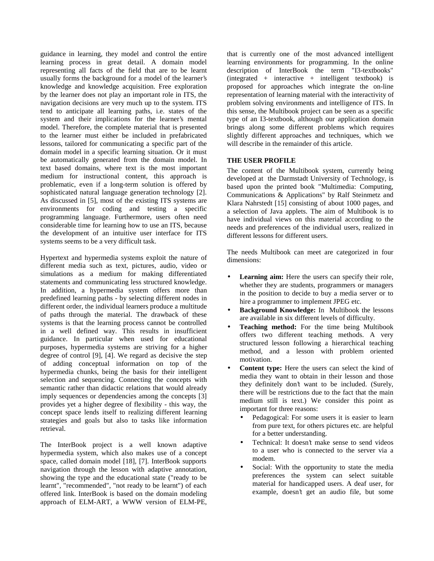guidance in learning, they model and control the entire learning process in great detail. A domain model representing all facts of the field that are to be learnt usually forms the background for a model of the learner's knowledge and knowledge acquisition. Free exploration by the learner does not play an important role in ITS, the navigation decisions are very much up to the system. ITS tend to anticipate all learning paths, i.e. states of the system and their implications for the learner's mental model. Therefore, the complete material that is presented to the learner must either be included in prefabricated lessons, tailored for communicating a specific part of the domain model in a specific learning situation. Or it must be automatically generated from the domain model. In text based domains, where text is the most important medium for instructional content, this approach is problematic, even if a long-term solution is offered by sophisticated natural language generation technology [2]. As discussed in [5], most of the existing ITS systems are environments for coding and testing a specific programming language. Furthermore, users often need considerable time for learning how to use an ITS, because the development of an intuitive user interface for ITS systems seems to be a very difficult task.

Hypertext and hypermedia systems exploit the nature of different media such as text, pictures, audio, video or simulations as a medium for making differentiated statements and communicating less structured knowledge. In addition, a hypermedia system offers more than predefined learning paths - by selecting different nodes in different order, the individual learners produce a multitude of paths through the material. The drawback of these systems is that the learning process cannot be controlled in a well defined way. This results in insufficient guidance. In particular when used for educational purposes, hypermedia systems are striving for a higher degree of control [9], [4]. We regard as decisive the step of adding conceptual information on top of the hypermedia chunks, being the basis for their intelligent selection and sequencing. Connecting the concepts with semantic rather than didactic relations that would already imply sequences or dependencies among the concepts [3] provides yet a higher degree of flexibility - this way, the concept space lends itself to realizing different learning strategies and goals but also to tasks like information retrieval.

The InterBook project is a well known adaptive hypermedia system, which also makes use of a concept space, called domain model [18], [7]. InterBook supports navigation through the lesson with adaptive annotation, showing the type and the educational state ("ready to be learnt", "recommended", "not ready to be learnt") of each offered link. InterBook is based on the domain modeling approach of ELM-ART, a WWW version of ELM-PE,

that is currently one of the most advanced intelligent learning environments for programming. In the online description of InterBook the term "I3-textbooks" (integrated + interactive + intelligent textbook) is proposed for approaches which integrate the on-line representation of learning material with the interactivity of problem solving environments and intelligence of ITS. In this sense, the Multibook project can be seen as a specific type of an I3-textbook, although our application domain brings along some different problems which requires slightly different approaches and techniques, which we will describe in the remainder of this article.

## **THE USER PROFILE**

The content of the Multibook system, currently being developed at the Darmstadt University of Technology, is based upon the printed book "Multimedia: Computing, Communications & Applications" by Ralf Steinmetz and Klara Nahrstedt [15] consisting of about 1000 pages, and a selection of Java applets. The aim of Multibook is to have individual views on this material according to the needs and preferences of the individual users, realized in different lessons for different users.

The needs Multibook can meet are categorized in four dimensions:

- Learning aim: Here the users can specify their role, whether they are students, programmers or managers in the position to decide to buy a media server or to hire a programmer to implement JPEG etc.
- **Background Knowledge:** In Multibook the lessons are available in six different levels of difficulty.
- **Teaching method:** For the time being Multibook offers two different teaching methods. A very structured lesson following a hierarchical teaching method, and a lesson with problem oriented motivation.
- **Content type:** Here the users can select the kind of media they want to obtain in their lesson and those they definitely don't want to be included. (Surely, there will be restrictions due to the fact that the main medium still is text.) We consider this point as important for three reasons:
	- Pedagogical: For some users it is easier to learn from pure text, for others pictures etc. are helpful for a better understanding.
	- Technical: It doesn't make sense to send videos to a user who is connected to the server via a modem.
	- Social: With the opportunity to state the media preferences the system can select suitable material for handicapped users. A deaf user, for example, doesn't get an audio file, but some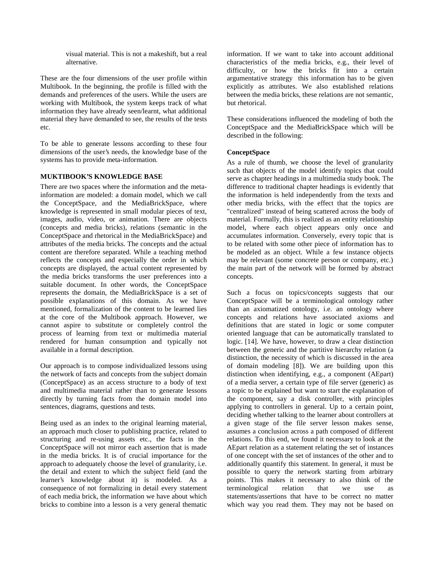visual material. This is not a makeshift, but a real alternative.

These are the four dimensions of the user profile within Multibook. In the beginning, the profile is filled with the demands and preferences of the users. While the users are working with Multibook, the system keeps track of what information they have already seen/learnt, what additional material they have demanded to see, the results of the tests etc.

To be able to generate lessons according to these four dimensions of the user's needs, the knowledge base of the systems has to provide meta-information.

## **MUKTIBOOK'S KNOWLEDGE BASE**

There are two spaces where the information and the metainformation are modeled: a domain model, which we call the ConceptSpace, and the MediaBrickSpace, where knowledge is represented in small modular pieces of text, images, audio, video, or animation. There are objects (concepts and media bricks), relations (semantic in the ConceptSpace and rhetorical in the MediaBrickSpace) and attributes of the media bricks. The concepts and the actual content are therefore separated. While a teaching method reflects the concepts and especially the order in which concepts are displayed, the actual content represented by the media bricks transforms the user preferences into a suitable document. In other words, the ConceptSpace represents the domain, the MediaBrickSpace is a set of possible explanations of this domain. As we have mentioned, formalization of the content to be learned lies at the core of the Multibook approach. However, we cannot aspire to substitute or completely control the process of learning from text or multimedia material rendered for human consumption and typically not available in a formal description.

Our approach is to compose individualized lessons using the network of facts and concepts from the subject domain (ConceptSpace) as an access structure to a body of text and multimedia material rather than to generate lessons directly by turning facts from the domain model into sentences, diagrams, questions and tests.

Being used as an index to the original learning material, an approach much closer to publishing practice, related to structuring and re-using assets etc., the facts in the ConceptSpace will not mirror each assertion that is made in the media bricks. It is of crucial importance for the approach to adequately choose the level of granularity, i.e. the detail and extent to which the subject field (and the learner's knowledge about it) is modeled. As a consequence of not formalizing in detail every statement of each media brick, the information we have about which bricks to combine into a lesson is a very general thematic

information. If we want to take into account additional characteristics of the media bricks, e.g., their level of difficulty, or how the bricks fit into a certain argumentative strategy this information has to be given explicitly as attributes. We also established relations between the media bricks, these relations are not semantic, but rhetorical.

These considerations influenced the modeling of both the ConceptSpace and the MediaBrickSpace which will be described in the following:

## **ConceptSpace**

As a rule of thumb, we choose the level of granularity such that objects of the model identify topics that could serve as chapter headings in a multimedia study book. The difference to traditional chapter headings is evidently that the information is held independently from the texts and other media bricks, with the effect that the topics are "centralized" instead of being scattered across the body of material. Formally, this is realized as an entity relationship model, where each object appears only once and accumulates information. Conversely, every topic that is to be related with some other piece of information has to be modeled as an object. While a few instance objects may be relevant (some concrete person or company, etc.) the main part of the network will be formed by abstract concepts.

Such a focus on topics/concepts suggests that our ConceptSpace will be a terminological ontology rather than an axiomatized ontology, i.e. an ontology where concepts and relations have associated axioms and definitions that are stated in logic or some computer oriented language that can be automatically translated to logic. [14]. We have, however, to draw a clear distinction between the generic and the partitive hierarchy relation (a distinction, the necessity of which is discussed in the area of domain modeling [8]). We are building upon this distinction when identifying, e.g., a component (AEpart) of a media server, a certain type of file server (generic) as a topic to be explained but want to start the explanation of the component, say a disk controller, with principles applying to controllers in general. Up to a certain point, deciding whether talking to the learner about controllers at a given stage of the file server lesson makes sense, assumes a conclusion across a path composed of different relations. To this end, we found it necessary to look at the AEpart relation as a statement relating the set of instances of one concept with the set of instances of the other and to additionally quantify this statement. In general, it must be possible to query the network starting from arbitrary points. This makes it necessary to also think of the terminological relation that we use as statements/assertions that have to be correct no matter which way you read them. They may not be based on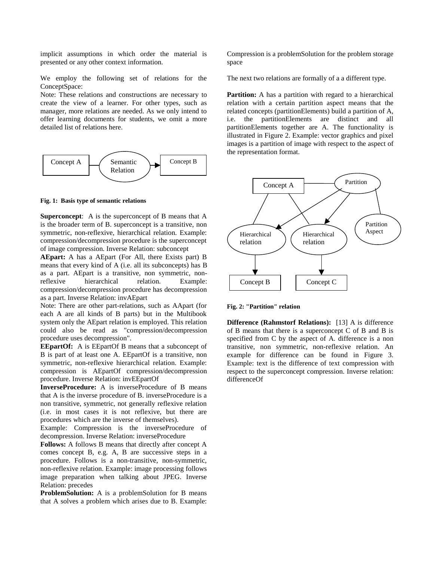implicit assumptions in which order the material is presented or any other context information.

We employ the following set of relations for the ConceptSpace:

Note: These relations and constructions are necessary to create the view of a learner. For other types, such as manager, more relations are needed. As we only intend to offer learning documents for students, we omit a more detailed list of relations here.



**Fig. 1: Basis type of semantic relations**

**Superconcept**: A is the superconcept of B means that A is the broader term of B. superconcept is a transitive, non symmetric, non-reflexive, hierarchical relation. Example: compression/decompression procedure is the superconcept of image compression. Inverse Relation: subconcept

**AEpart:** A has a AEpart (For All, there Exists part) B means that every kind of A (i.e. all its subconcepts) has B as a part. AEpart is a transitive, non symmetric, nonreflexive hierarchical relation. Example: compression/decompression procedure has decompression as a part. Inverse Relation: invAEpart

Note: There are other part-relations, such as AApart (for each A are all kinds of B parts) but in the Multibook system only the AEpart relation is employed. This relation could also be read as "compression/decompression procedure uses decompression".

**EEpartOf:** A is EEpartOf B means that a subconcept of B is part of at least one A. EEpartOf is a transitive, non symmetric, non-reflexive hierarchical relation. Example: compression is AEpartOf compression/decompression procedure. Inverse Relation: invEEpartOf

**InverseProcedure:** A is inverseProcedure of B means that A is the inverse procedure of B. inverseProcedure is a non transitive, symmetric, not generally reflexive relation (i.e. in most cases it is not reflexive, but there are procedures which are the inverse of themselves).

Example: Compression is the inverseProcedure of decompression. Inverse Relation: inverseProcedure

**Follows:** A follows B means that directly after concept A comes concept B, e.g. A, B are successive steps in a procedure. Follows is a non-transitive, non-symmetric, non-reflexive relation. Example: image processing follows image preparation when talking about JPEG. Inverse Relation: precedes

**ProblemSolution:** A is a problemSolution for B means that A solves a problem which arises due to B. Example: Compression is a problemSolution for the problem storage space

The next two relations are formally of a a different type.

**Partition:** A has a partition with regard to a hierarchical relation with a certain partition aspect means that the related concepts (partitionElements) build a partition of A, i.e. the partitionElements are distinct and all partitionElements together are A. The functionality is illustrated in Figure 2. Example: vector graphics and pixel images is a partition of image with respect to the aspect of the representation format.



**Fig. 2: "Partition" relation**

**Difference (Rahmstorf Relations):** [13] A is difference of B means that there is a superconcept C of B and B is specified from C by the aspect of A. difference is a non transitive, non symmetric, non-reflexive relation. An example for difference can be found in Figure 3. Example: text is the difference of text compression with respect to the superconcept compression. Inverse relation: differenceOf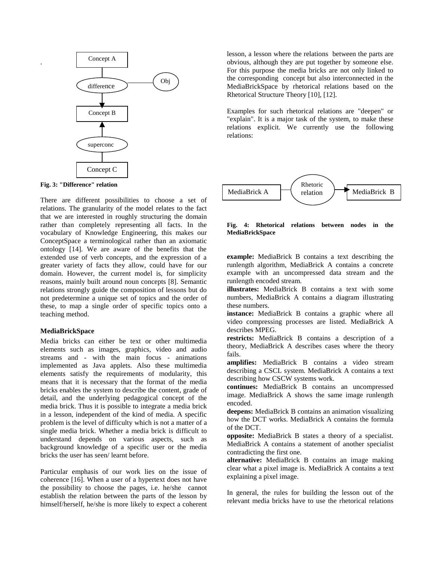

**Fig. 3: "Difference" relation**

.

There are different possibilities to choose a set of relations. The granularity of the model relates to the fact that we are interested in roughly structuring the domain rather than completely representing all facts. In the vocabulary of Knowledge Engineering, this makes our ConceptSpace a terminological rather than an axiomatic ontology [14]. We are aware of the benefits that the extended use of verb concepts, and the expression of a greater variety of facts they allow, could have for our domain. However, the current model is, for simplicity reasons, mainly built around noun concepts [8]. Semantic relations strongly guide the composition of lessons but do not predetermine a unique set of topics and the order of these, to map a single order of specific topics onto a teaching method.

#### **MediaBrickSpace**

Media bricks can either be text or other multimedia elements such as images, graphics, video and audio streams and - with the main focus - animations implemented as Java applets. Also these multimedia elements satisfy the requirements of modularity, this means that it is necessary that the format of the media bricks enables the system to describe the content, grade of detail, and the underlying pedagogical concept of the media brick. Thus it is possible to integrate a media brick in a lesson, independent of the kind of media. A specific problem is the level of difficulty which is not a matter of a single media brick. Whether a media brick is difficult to understand depends on various aspects, such as background knowledge of a specific user or the media bricks the user has seen/ learnt before.

Particular emphasis of our work lies on the issue of coherence [16]. When a user of a hypertext does not have the possibility to choose the pages, i.e. he/she cannot establish the relation between the parts of the lesson by himself/herself, he/she is more likely to expect a coherent lesson, a lesson where the relations between the parts are obvious, although they are put together by someone else. For this purpose the media bricks are not only linked to the corresponding concept but also interconnected in the MediaBrickSpace by rhetorical relations based on the Rhetorical Structure Theory [10], [12].

Examples for such rhetorical relations are "deepen" or "explain". It is a major task of the system, to make these relations explicit. We currently use the following relations:



**Fig. 4: Rhetorical relations between nodes in the MediaBrickSpace**

**example:** MediaBrick B contains a text describing the runlength algorithm, MediaBrick A contains a concrete example with an uncompressed data stream and the runlength encoded stream.

**illustrates:** MediaBrick B contains a text with some numbers, MediaBrick A contains a diagram illustrating these numbers.

**instance:** MediaBrick B contains a graphic where all video compressing processes are listed. MediaBrick A describes MPEG.

**restricts:** MediaBrick B contains a description of a theory, MediaBrick A describes cases where the theory fails.

**amplifies:** MediaBrick B contains a video stream describing a CSCL system. MediaBrick A contains a text describing how CSCW systems work.

**continues:** MediaBrick B contains an uncompressed image. MediaBrick A shows the same image runlength encoded.

**deepens:** MediaBrick B contains an animation visualizing how the DCT works. MediaBrick A contains the formula of the DCT.

**opposite:** MediaBrick B states a theory of a specialist. MediaBrick A contains a statement of another specialist contradicting the first one.

**alternative:** MediaBrick B contains an image making clear what a pixel image is. MediaBrick A contains a text explaining a pixel image.

In general, the rules for building the lesson out of the relevant media bricks have to use the rhetorical relations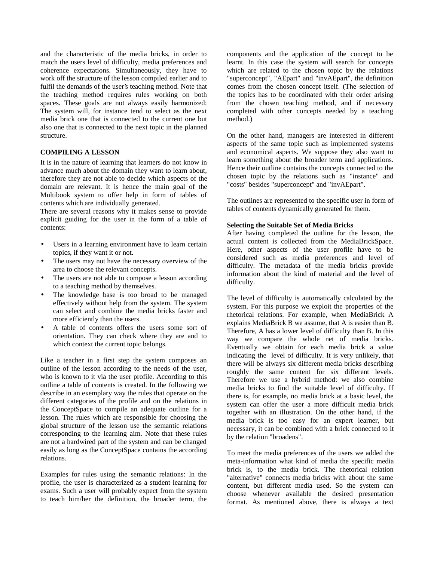and the characteristic of the media bricks, in order to match the users level of difficulty, media preferences and coherence expectations. Simultaneously, they have to work off the structure of the lesson compiled earlier and to fulfil the demands of the user's teaching method. Note that the teaching method requires rules working on both spaces. These goals are not always easily harmonized: The system will, for instance tend to select as the next media brick one that is connected to the current one but also one that is connected to the next topic in the planned structure.

## **COMPILING A LESSON**

It is in the nature of learning that learners do not know in advance much about the domain they want to learn about, therefore they are not able to decide which aspects of the domain are relevant. It is hence the main goal of the Multibook system to offer help in form of tables of contents which are individually generated.

There are several reasons why it makes sense to provide explicit guiding for the user in the form of a table of contents:

- Users in a learning environment have to learn certain topics, if they want it or not.
- The users may not have the necessary overview of the area to choose the relevant concepts.
- The users are not able to compose a lesson according to a teaching method by themselves.
- The knowledge base is too broad to be managed effectively without help from the system. The system can select and combine the media bricks faster and more efficiently than the users.
- A table of contents offers the users some sort of orientation. They can check where they are and to which context the current topic belongs.

Like a teacher in a first step the system composes an outline of the lesson according to the needs of the user, who is known to it via the user profile. According to this outline a table of contents is created. In the following we describe in an exemplary way the rules that operate on the different categories of the profile and on the relations in the ConceptSpace to compile an adequate outline for a lesson. The rules which are responsible for choosing the global structure of the lesson use the semantic relations corresponding to the learning aim. Note that these rules are not a hardwired part of the system and can be changed easily as long as the ConceptSpace contains the according relations.

Examples for rules using the semantic relations: In the profile, the user is characterized as a student learning for exams. Such a user will probably expect from the system to teach him/her the definition, the broader term, the

components and the application of the concept to be learnt. In this case the system will search for concepts which are related to the chosen topic by the relations "superconcept", "AEpart" and "invAEpart", the definition comes from the chosen concept itself. (The selection of the topics has to be coordinated with their order arising from the chosen teaching method, and if necessary completed with other concepts needed by a teaching method.)

On the other hand, managers are interested in different aspects of the same topic such as implemented systems and economical aspects. We suppose they also want to learn something about the broader term and applications. Hence their outline contains the concepts connected to the chosen topic by the relations such as "instance" and "costs" besides "superconcept" and "invAEpart".

The outlines are represented to the specific user in form of tables of contents dynamically generated for them.

#### **Selecting the Suitable Set of Media Bricks**

After having completed the outline for the lesson, the actual content is collected from the MediaBrickSpace. Here, other aspects of the user profile have to be considered such as media preferences and level of difficulty. The metadata of the media bricks provide information about the kind of material and the level of difficulty.

The level of difficulty is automatically calculated by the system. For this purpose we exploit the properties of the rhetorical relations. For example, when MediaBrick A explains MediaBrick B we assume, that A is easier than B. Therefore, A has a lower level of difficulty than B. In this way we compare the whole net of media bricks. Eventually we obtain for each media brick a value indicating the level of difficulty. It is very unlikely, that there will be always six different media bricks describing roughly the same content for six different levels. Therefore we use a hybrid method: we also combine media bricks to find the suitable level of difficulty. If there is, for example, no media brick at a basic level, the system can offer the user a more difficult media brick together with an illustration. On the other hand, if the media brick is too easy for an expert learner, but necessary, it can be combined with a brick connected to it by the relation "broadens".

To meet the media preferences of the users we added the meta-information what kind of media the specific media brick is, to the media brick. The rhetorical relation "alternative" connects media bricks with about the same content, but different media used. So the system can choose whenever available the desired presentation format. As mentioned above, there is always a text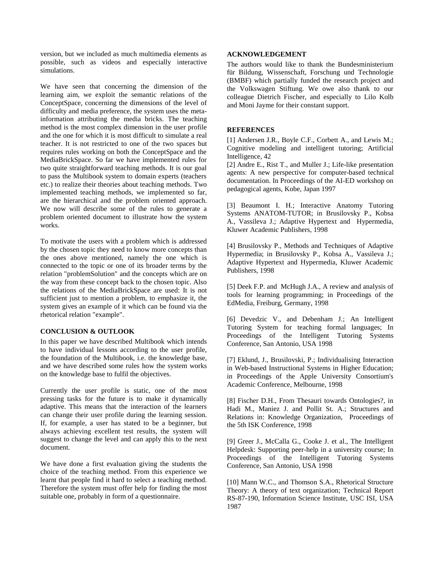version, but we included as much multimedia elements as possible, such as videos and especially interactive simulations.

We have seen that concerning the dimension of the learning aim, we exploit the semantic relations of the ConceptSpace, concerning the dimensions of the level of difficulty and media preference, the system uses the metainformation attributing the media bricks. The teaching method is the most complex dimension in the user profile and the one for which it is most difficult to simulate a real teacher. It is not restricted to one of the two spaces but requires rules working on both the ConceptSpace and the MediaBrickSpace. So far we have implemented rules for two quite straightforward teaching methods. It is our goal to pass the Multibook system to domain experts (teachers etc.) to realize their theories about teaching methods. Two implemented teaching methods, we implemented so far, are the hierarchical and the problem oriented approach. We now will describe some of the rules to generate a problem oriented document to illustrate how the system works.

To motivate the users with a problem which is addressed by the chosen topic they need to know more concepts than the ones above mentioned, namely the one which is connected to the topic or one of its broader terms by the relation "problemSolution" and the concepts which are on the way from these concept back to the chosen topic. Also the relations of the MediaBrickSpace are used: It is not sufficient just to mention a problem, to emphasize it, the system gives an example of it which can be found via the rhetorical relation "example".

# **CONCLUSION & OUTLOOK**

In this paper we have described Multibook which intends to have individual lessons according to the user profile, the foundation of the Multibook, i.e. the knowledge base, and we have described some rules how the system works on the knowledge base to fulfil the objectives.

Currently the user profile is static, one of the most pressing tasks for the future is to make it dynamically adaptive. This means that the interaction of the learners can change their user profile during the learning session. If, for example, a user has stated to be a beginner, but always achieving excellent test results, the system will suggest to change the level and can apply this to the next document.

We have done a first evaluation giving the students the choice of the teaching method. From this experience we learnt that people find it hard to select a teaching method. Therefore the system must offer help for finding the most suitable one, probably in form of a questionnaire.

#### **ACKNOWLEDGEMENT**

The authors would like to thank the Bundesministerium für Bildung, Wissenschaft, Forschung und Technologie (BMBF) which partially funded the research project and the Volkswagen Stiftung. We owe also thank to our colleague Dietrich Fischer, and especially to Lilo Kolb and Moni Jayme for their constant support.

#### **REFERENCES**

[1] Andersen J.R., Boyle C.F., Corbett A., and Lewis M.; Cognitive modeling and intelligent tutoring; Artificial Intelligence, 42

[2] Andre E., Rist T., and Muller J.; Life-like presentation agents: A new perspective for computer-based technical documentation. In Proceedings of the AI-ED workshop on pedagogical agents, Kobe, Japan 1997

[3] Beaumont I. H.; Interactive Anatomy Tutoring Systems ANATOM-TUTOR; in Brusilovsky P., Kobsa A., Vassileva J.; Adaptive Hypertext and Hypermedia, Kluwer Academic Publishers, 1998

[4] Brusilovsky P., Methods and Techniques of Adaptive Hypermedia; in Brusilovsky P., Kobsa A., Vassileva J.; Adaptive Hypertext and Hypermedia, Kluwer Academic Publishers, 1998

[5] Deek F.P. and McHugh J.A., A review and analysis of tools for learning programming; in Proceedings of the EdMedia, Freiburg, Germany, 1998

[6] Devedzic V., and Debenham J.; An Intelligent Tutoring System for teaching formal languages; In Proceedings of the Intelligent Tutoring Systems Conference, San Antonio, USA 1998

[7] Eklund, J., Brusilovski, P.; Individualising Interaction in Web-based Instructional Systems in Higher Education; in Proceedings of the Apple University Consortium's Academic Conference, Melbourne, 1998

[8] Fischer D.H., From Thesauri towards Ontologies?, in Hadi M., Maniez J. and Pollit St. A.; Structures and Relations in: Knowledge Organization, Proceedings of the 5th ISK Conference, 1998

[9] Greer J., McCalla G., Cooke J. et al., The Intelligent Helpdesk: Supporting peer-help in a university course; In Proceedings of the Intelligent Tutoring Systems Conference, San Antonio, USA 1998

[10] Mann W.C., and Thomson S.A., Rhetorical Structure Theory: A theory of text organization; Technical Report RS-87-190, Information Science Institute, USC ISI, USA 1987